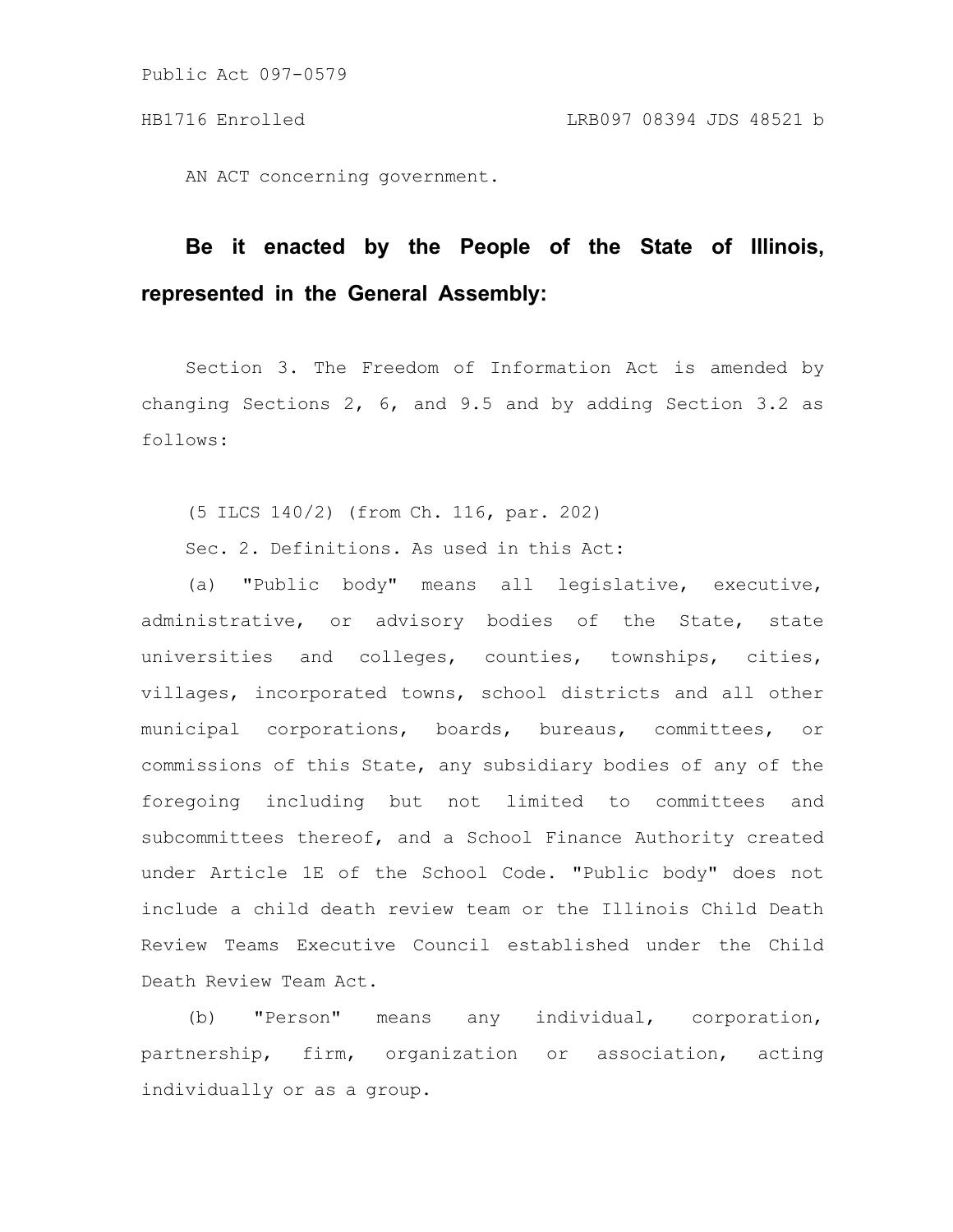AN ACT concerning government.

# **Be it enacted by the People of the State of Illinois, represented in the General Assembly:**

Section 3. The Freedom of Information Act is amended by changing Sections 2, 6, and 9.5 and by adding Section 3.2 as follows:

(5 ILCS 140/2) (from Ch. 116, par. 202)

Sec. 2. Definitions. As used in this Act:

(a) "Public body" means all legislative, executive, administrative, or advisory bodies of the State, state universities and colleges, counties, townships, cities, villages, incorporated towns, school districts and all other municipal corporations, boards, bureaus, committees, or commissions of this State, any subsidiary bodies of any of the foregoing including but not limited to committees and subcommittees thereof, and a School Finance Authority created under Article 1E of the School Code. "Public body" does not include a child death review team or the Illinois Child Death Review Teams Executive Council established under the Child Death Review Team Act.

(b) "Person" means any individual, corporation, partnership, firm, organization or association, acting individually or as a group.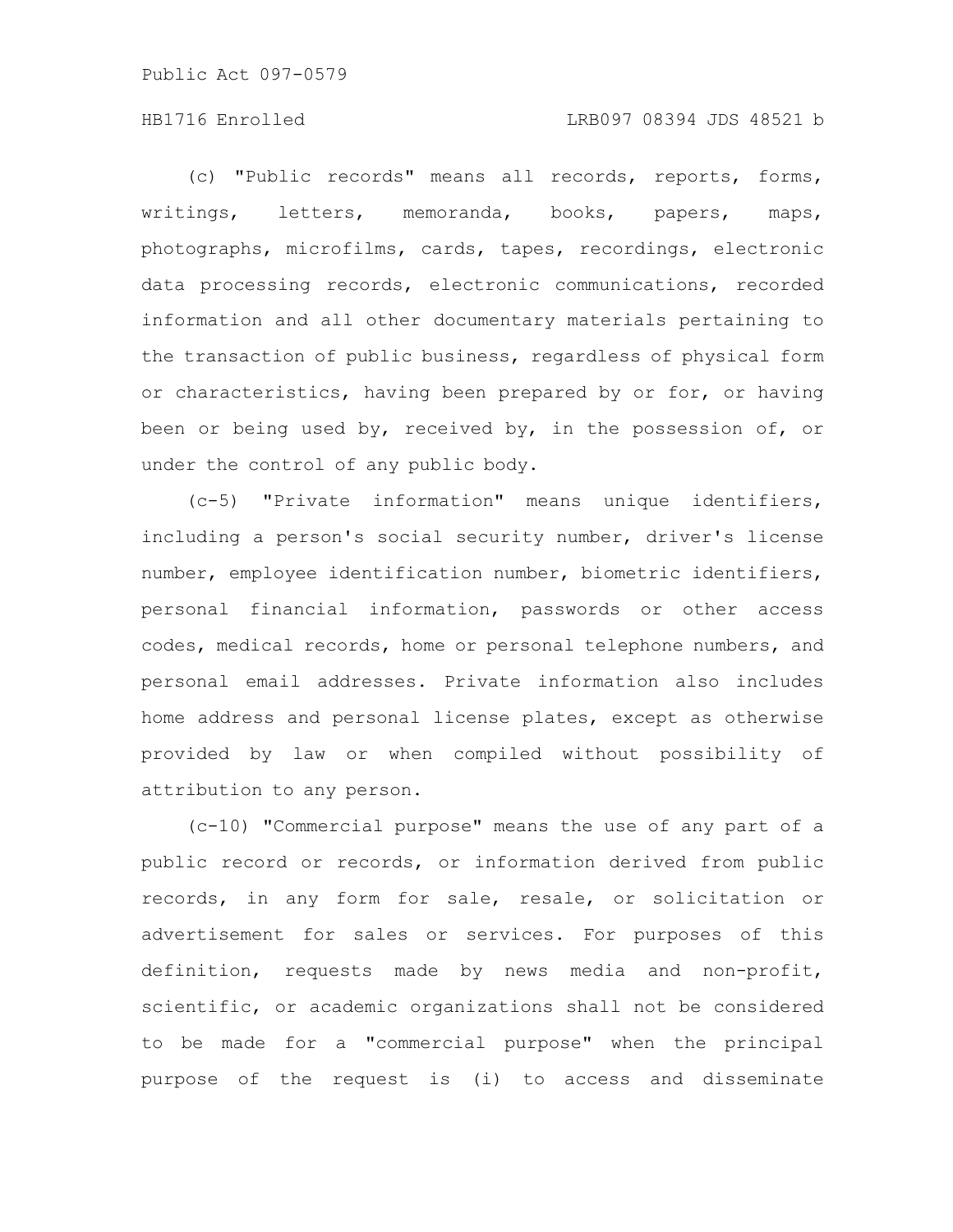## HB1716 Enrolled LRB097 08394 JDS 48521 b

(c) "Public records" means all records, reports, forms, writings, letters, memoranda, books, papers, maps, photographs, microfilms, cards, tapes, recordings, electronic data processing records, electronic communications, recorded information and all other documentary materials pertaining to the transaction of public business, regardless of physical form or characteristics, having been prepared by or for, or having been or being used by, received by, in the possession of, or under the control of any public body.

(c-5) "Private information" means unique identifiers, including a person's social security number, driver's license number, employee identification number, biometric identifiers, personal financial information, passwords or other access codes, medical records, home or personal telephone numbers, and personal email addresses. Private information also includes home address and personal license plates, except as otherwise provided by law or when compiled without possibility of attribution to any person.

(c-10) "Commercial purpose" means the use of any part of a public record or records, or information derived from public records, in any form for sale, resale, or solicitation or advertisement for sales or services. For purposes of this definition, requests made by news media and non-profit, scientific, or academic organizations shall not be considered to be made for a "commercial purpose" when the principal purpose of the request is (i) to access and disseminate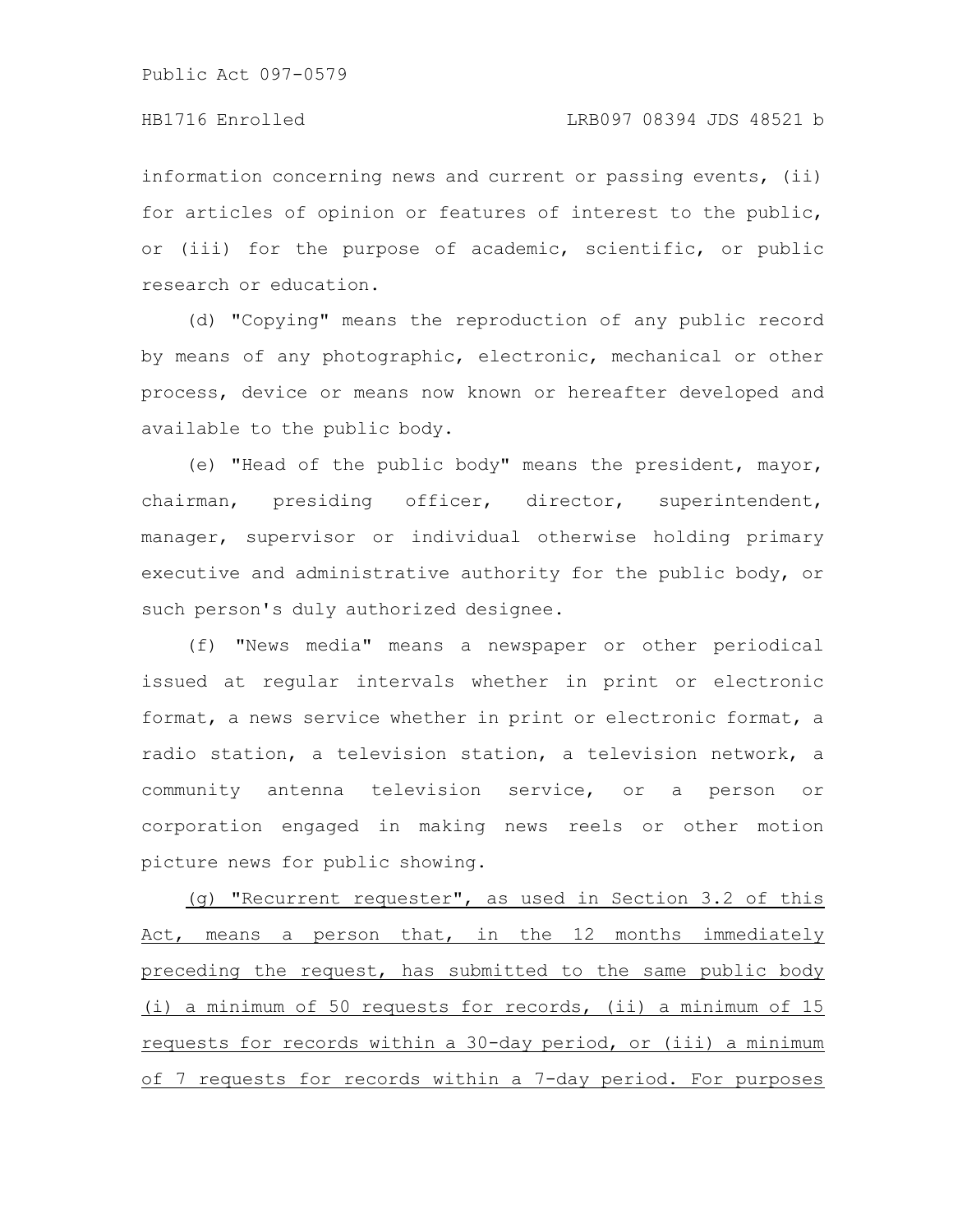# HB1716 Enrolled LRB097 08394 JDS 48521 b

information concerning news and current or passing events, (ii) for articles of opinion or features of interest to the public, or (iii) for the purpose of academic, scientific, or public research or education.

(d) "Copying" means the reproduction of any public record by means of any photographic, electronic, mechanical or other process, device or means now known or hereafter developed and available to the public body.

(e) "Head of the public body" means the president, mayor, chairman, presiding officer, director, superintendent, manager, supervisor or individual otherwise holding primary executive and administrative authority for the public body, or such person's duly authorized designee.

(f) "News media" means a newspaper or other periodical issued at regular intervals whether in print or electronic format, a news service whether in print or electronic format, a radio station, a television station, a television network, a community antenna television service, or a person or corporation engaged in making news reels or other motion picture news for public showing.

(g) "Recurrent requester", as used in Section 3.2 of this Act, means a person that, in the 12 months immediately preceding the request, has submitted to the same public body (i) a minimum of 50 requests for records, (ii) a minimum of 15 requests for records within a 30-day period, or (iii) a minimum of 7 requests for records within a 7-day period. For purposes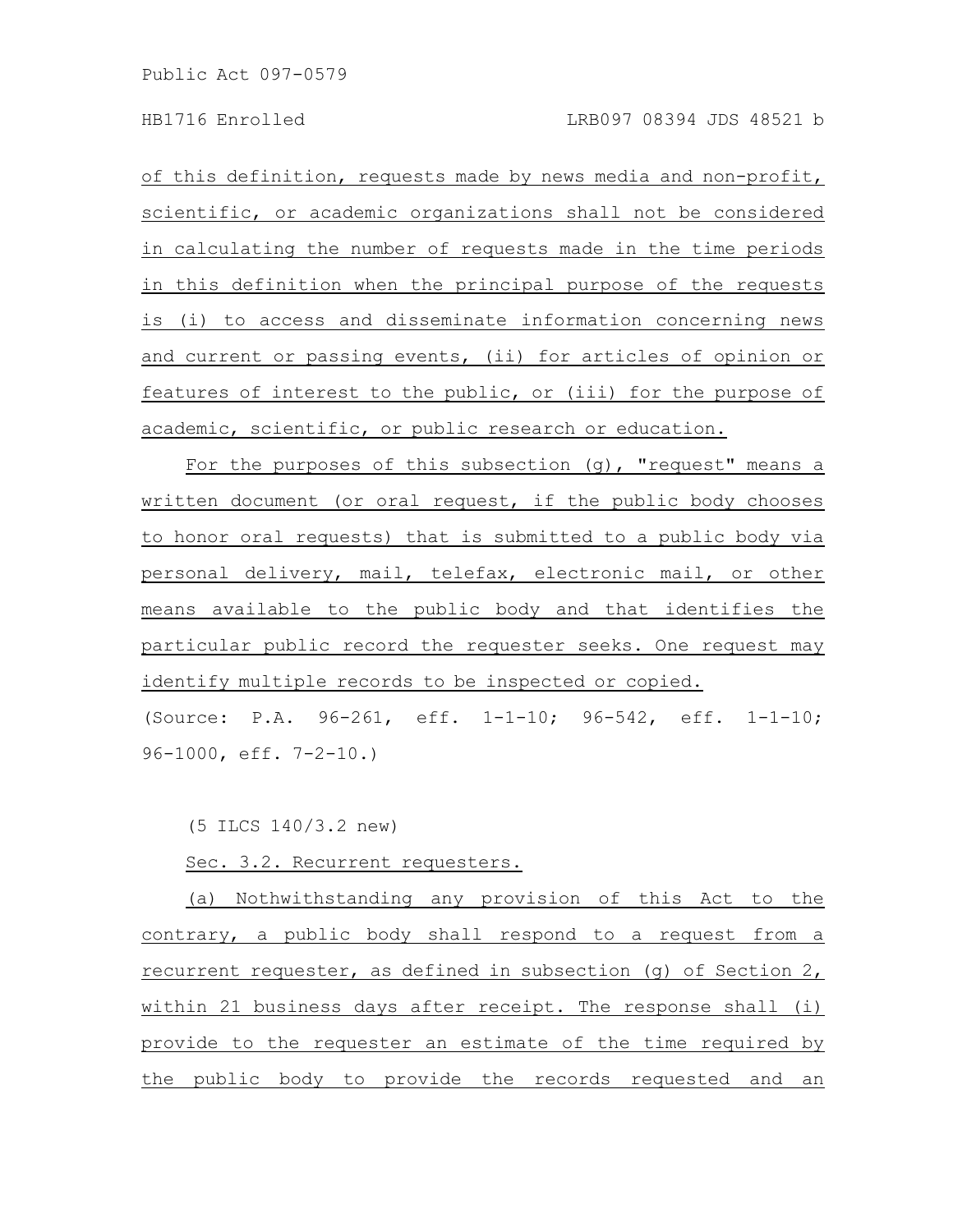of this definition, requests made by news media and non-profit, scientific, or academic organizations shall not be considered in calculating the number of requests made in the time periods in this definition when the principal purpose of the requests is (i) to access and disseminate information concerning news and current or passing events, (ii) for articles of opinion or features of interest to the public, or (iii) for the purpose of academic, scientific, or public research or education.

For the purposes of this subsection  $(q)$ , "request" means a written document (or oral request, if the public body chooses to honor oral requests) that is submitted to a public body via personal delivery, mail, telefax, electronic mail, or other means available to the public body and that identifies the particular public record the requester seeks. One request may identify multiple records to be inspected or copied.

(Source: P.A. 96-261, eff. 1-1-10; 96-542, eff. 1-1-10; 96-1000, eff. 7-2-10.)

(5 ILCS 140/3.2 new)

Sec. 3.2. Recurrent requesters.

(a) Nothwithstanding any provision of this Act to the contrary, a public body shall respond to a request from a recurrent requester, as defined in subsection (g) of Section 2, within 21 business days after receipt. The response shall (i) provide to the requester an estimate of the time required by the public body to provide the records requested and an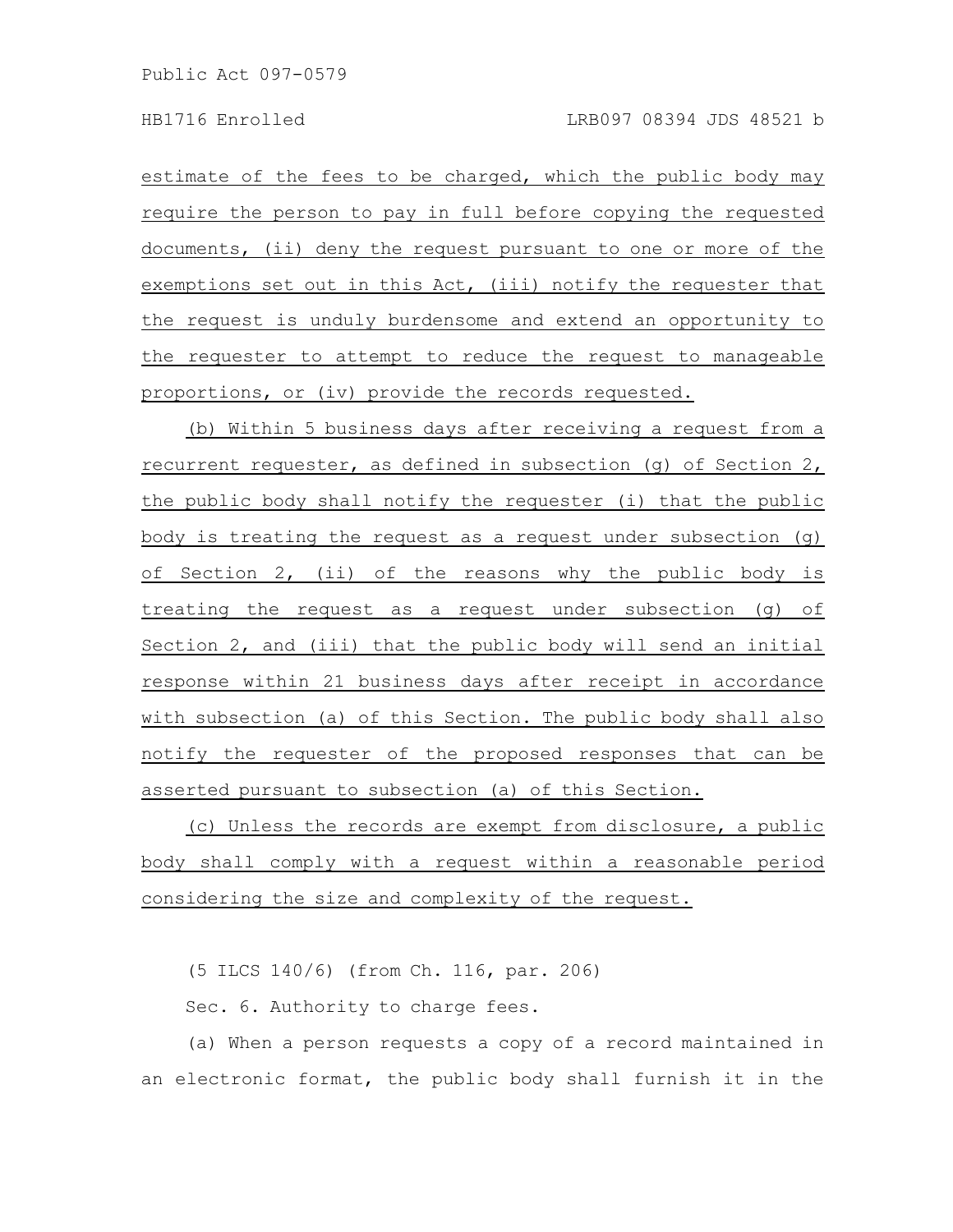estimate of the fees to be charged, which the public body may require the person to pay in full before copying the requested documents, (ii) deny the request pursuant to one or more of the exemptions set out in this Act, (iii) notify the requester that the request is unduly burdensome and extend an opportunity to the requester to attempt to reduce the request to manageable proportions, or (iv) provide the records requested.

(b) Within 5 business days after receiving a request from a recurrent requester, as defined in subsection (g) of Section 2, the public body shall notify the requester (i) that the public body is treating the request as a request under subsection (g) of Section 2, (ii) of the reasons why the public body is treating the request as a request under subsection (g) of Section 2, and (iii) that the public body will send an initial response within 21 business days after receipt in accordance with subsection (a) of this Section. The public body shall also notify the requester of the proposed responses that can be asserted pursuant to subsection (a) of this Section.

(c) Unless the records are exempt from disclosure, a public body shall comply with a request within a reasonable period considering the size and complexity of the request.

(5 ILCS 140/6) (from Ch. 116, par. 206)

Sec. 6. Authority to charge fees.

(a) When a person requests a copy of a record maintained in an electronic format, the public body shall furnish it in the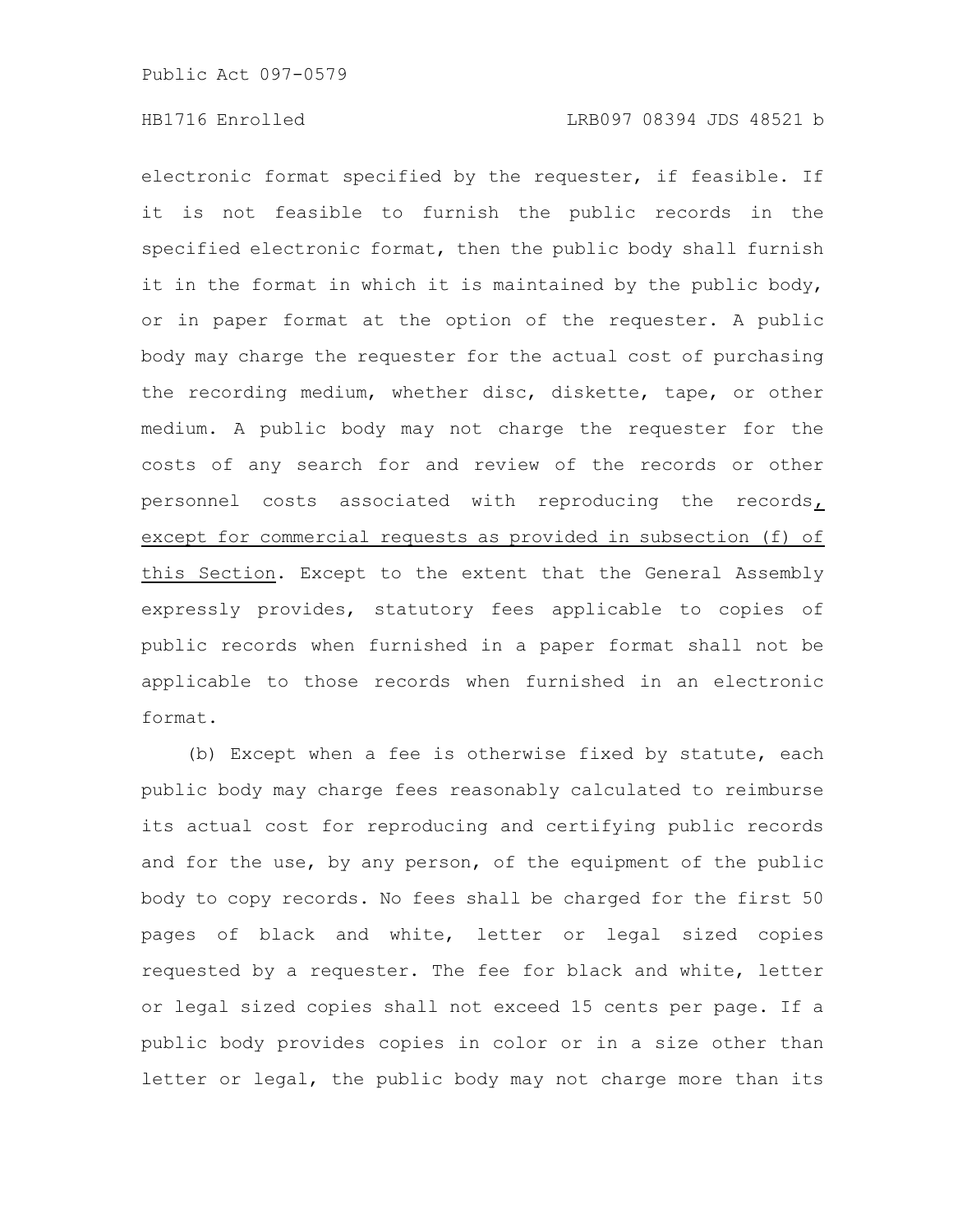electronic format specified by the requester, if feasible. If it is not feasible to furnish the public records in the specified electronic format, then the public body shall furnish it in the format in which it is maintained by the public body, or in paper format at the option of the requester. A public body may charge the requester for the actual cost of purchasing the recording medium, whether disc, diskette, tape, or other medium. A public body may not charge the requester for the costs of any search for and review of the records or other personnel costs associated with reproducing the records, except for commercial requests as provided in subsection (f) of this Section. Except to the extent that the General Assembly expressly provides, statutory fees applicable to copies of public records when furnished in a paper format shall not be applicable to those records when furnished in an electronic format.

(b) Except when a fee is otherwise fixed by statute, each public body may charge fees reasonably calculated to reimburse its actual cost for reproducing and certifying public records and for the use, by any person, of the equipment of the public body to copy records. No fees shall be charged for the first 50 pages of black and white, letter or legal sized copies requested by a requester. The fee for black and white, letter or legal sized copies shall not exceed 15 cents per page. If a public body provides copies in color or in a size other than letter or legal, the public body may not charge more than its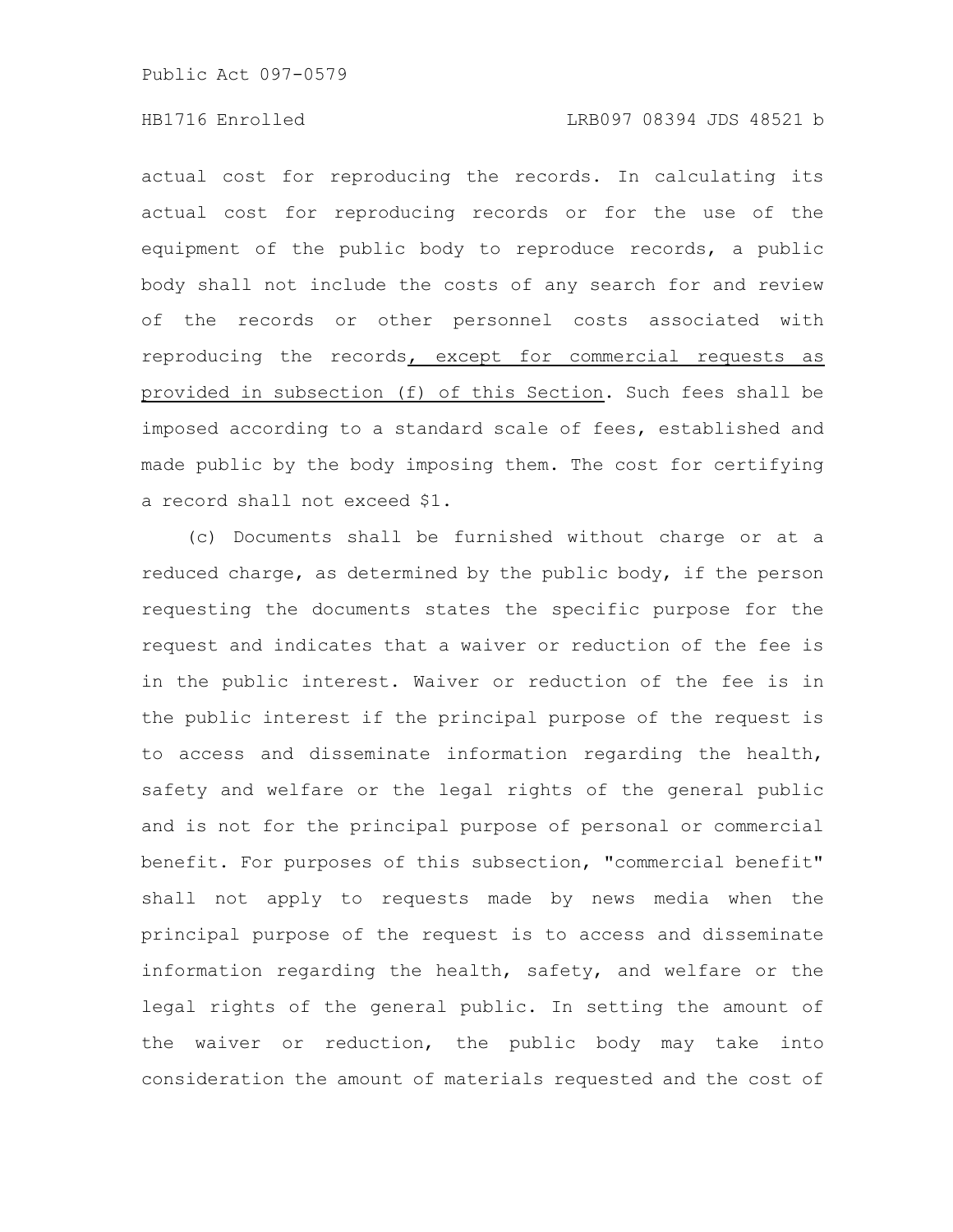# HB1716 Enrolled LRB097 08394 JDS 48521 b

actual cost for reproducing the records. In calculating its actual cost for reproducing records or for the use of the equipment of the public body to reproduce records, a public body shall not include the costs of any search for and review of the records or other personnel costs associated with reproducing the records, except for commercial requests as provided in subsection (f) of this Section. Such fees shall be imposed according to a standard scale of fees, established and made public by the body imposing them. The cost for certifying a record shall not exceed \$1.

(c) Documents shall be furnished without charge or at a reduced charge, as determined by the public body, if the person requesting the documents states the specific purpose for the request and indicates that a waiver or reduction of the fee is in the public interest. Waiver or reduction of the fee is in the public interest if the principal purpose of the request is to access and disseminate information regarding the health, safety and welfare or the legal rights of the general public and is not for the principal purpose of personal or commercial benefit. For purposes of this subsection, "commercial benefit" shall not apply to requests made by news media when the principal purpose of the request is to access and disseminate information regarding the health, safety, and welfare or the legal rights of the general public. In setting the amount of the waiver or reduction, the public body may take into consideration the amount of materials requested and the cost of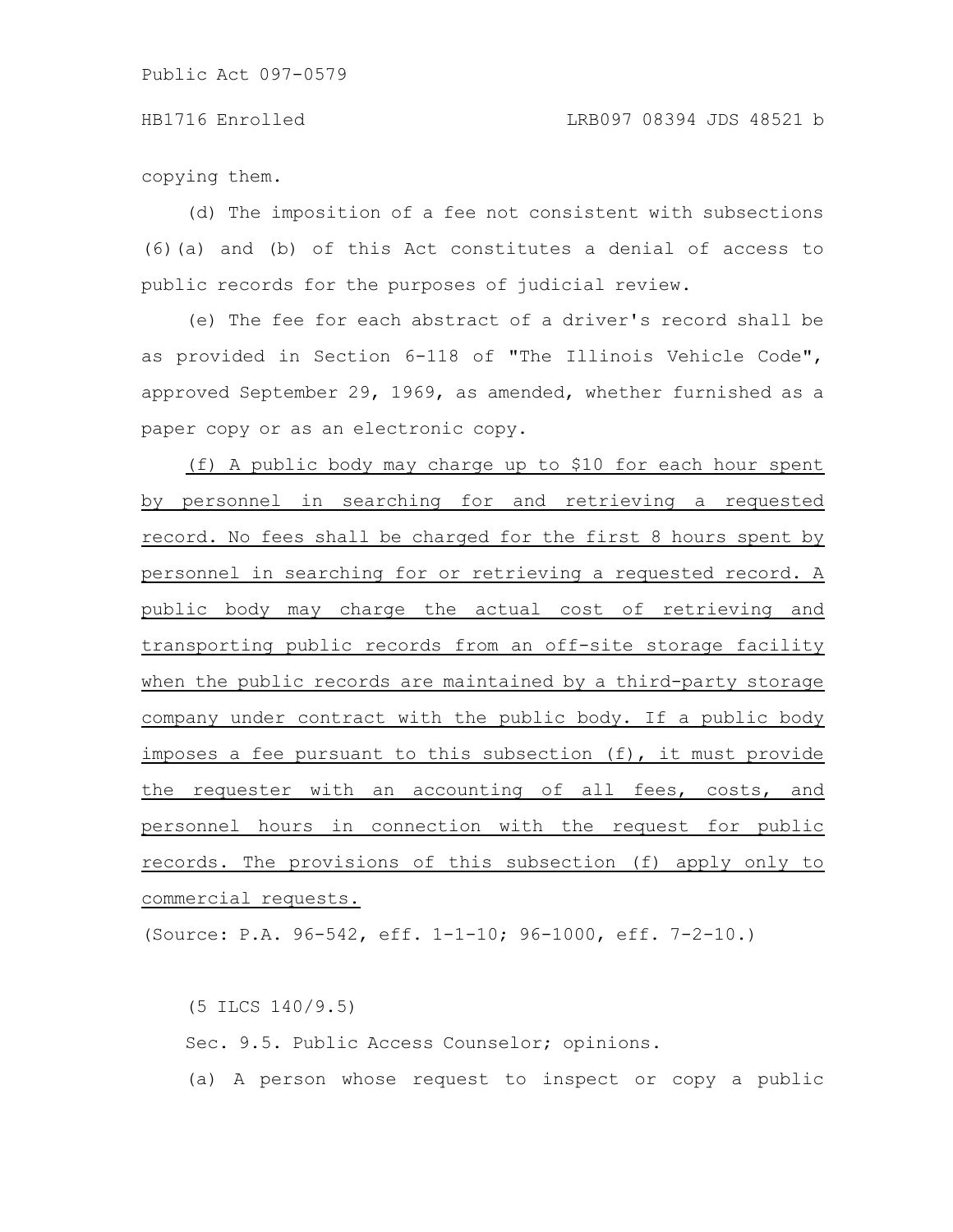copying them.

(d) The imposition of a fee not consistent with subsections (6)(a) and (b) of this Act constitutes a denial of access to public records for the purposes of judicial review.

(e) The fee for each abstract of a driver's record shall be as provided in Section 6-118 of "The Illinois Vehicle Code", approved September 29, 1969, as amended, whether furnished as a paper copy or as an electronic copy.

(f) A public body may charge up to \$10 for each hour spent by personnel in searching for and retrieving a requested record. No fees shall be charged for the first 8 hours spent by personnel in searching for or retrieving a requested record. A public body may charge the actual cost of retrieving and transporting public records from an off-site storage facility when the public records are maintained by a third-party storage company under contract with the public body. If a public body imposes a fee pursuant to this subsection (f), it must provide the requester with an accounting of all fees, costs, and personnel hours in connection with the request for public records. The provisions of this subsection (f) apply only to commercial requests.

(Source: P.A. 96-542, eff. 1-1-10; 96-1000, eff. 7-2-10.)

(5 ILCS 140/9.5) Sec. 9.5. Public Access Counselor; opinions. (a) A person whose request to inspect or copy a public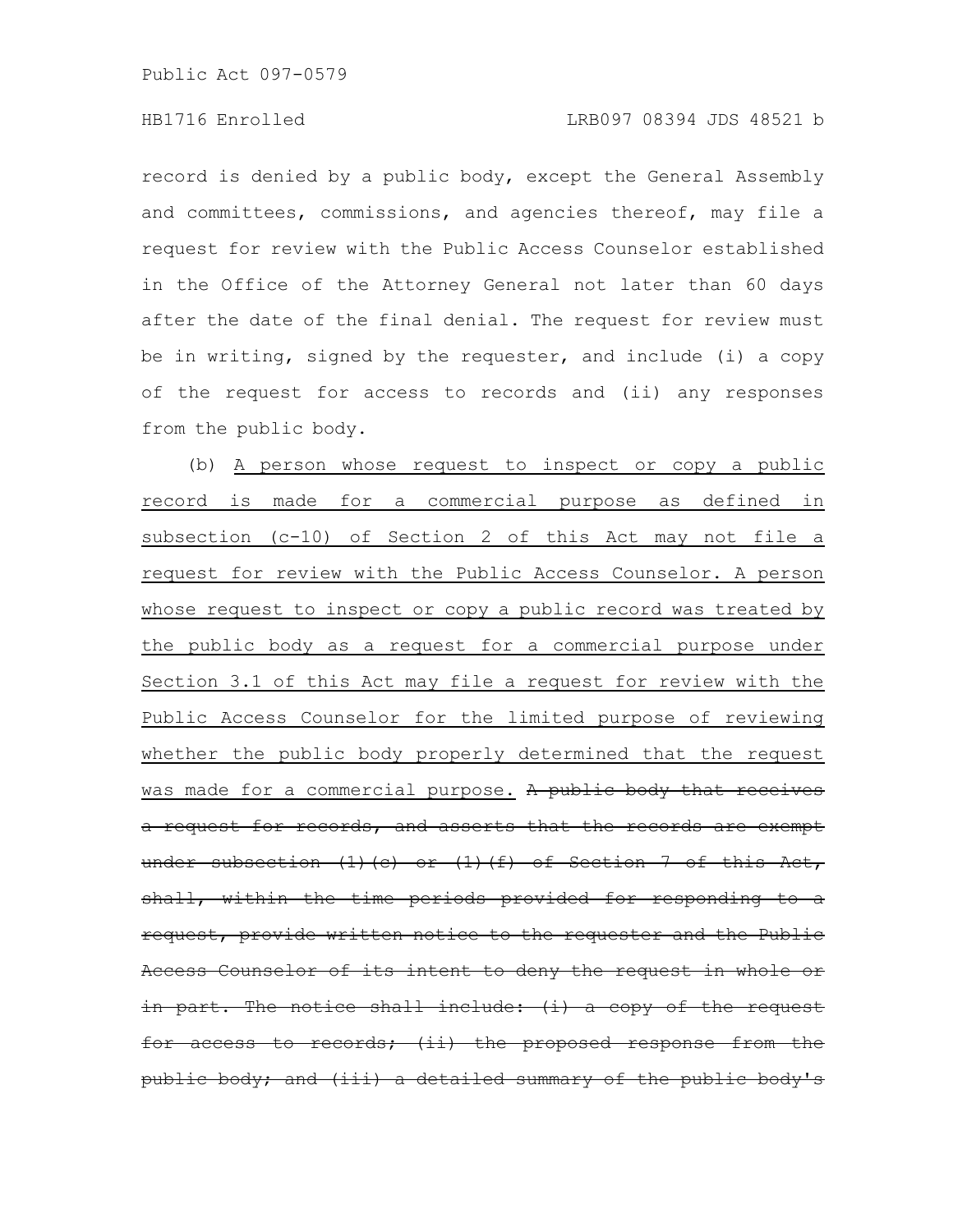record is denied by a public body, except the General Assembly and committees, commissions, and agencies thereof, may file a request for review with the Public Access Counselor established in the Office of the Attorney General not later than 60 days after the date of the final denial. The request for review must be in writing, signed by the requester, and include (i) a copy of the request for access to records and (ii) any responses from the public body.

(b) A person whose request to inspect or copy a public record is made for a commercial purpose as defined in subsection (c-10) of Section 2 of this Act may not file a request for review with the Public Access Counselor. A person whose request to inspect or copy a public record was treated by the public body as a request for a commercial purpose under Section 3.1 of this Act may file a request for review with the Public Access Counselor for the limited purpose of reviewing whether the public body properly determined that the request was made for a commercial purpose. A public body that a request for records, and asserts that the records are exempt under subsection  $(1)(e)$  or  $(1)(f)$  of Section 7 of this the time periods provided for responding request, provide written notice to the requester and the Public eess Counselor of its intent to deny the request  $part.$  The notice shall include: (i) a copy access to records; (ii) the proposed public body; and (iii) a detailed summary of the public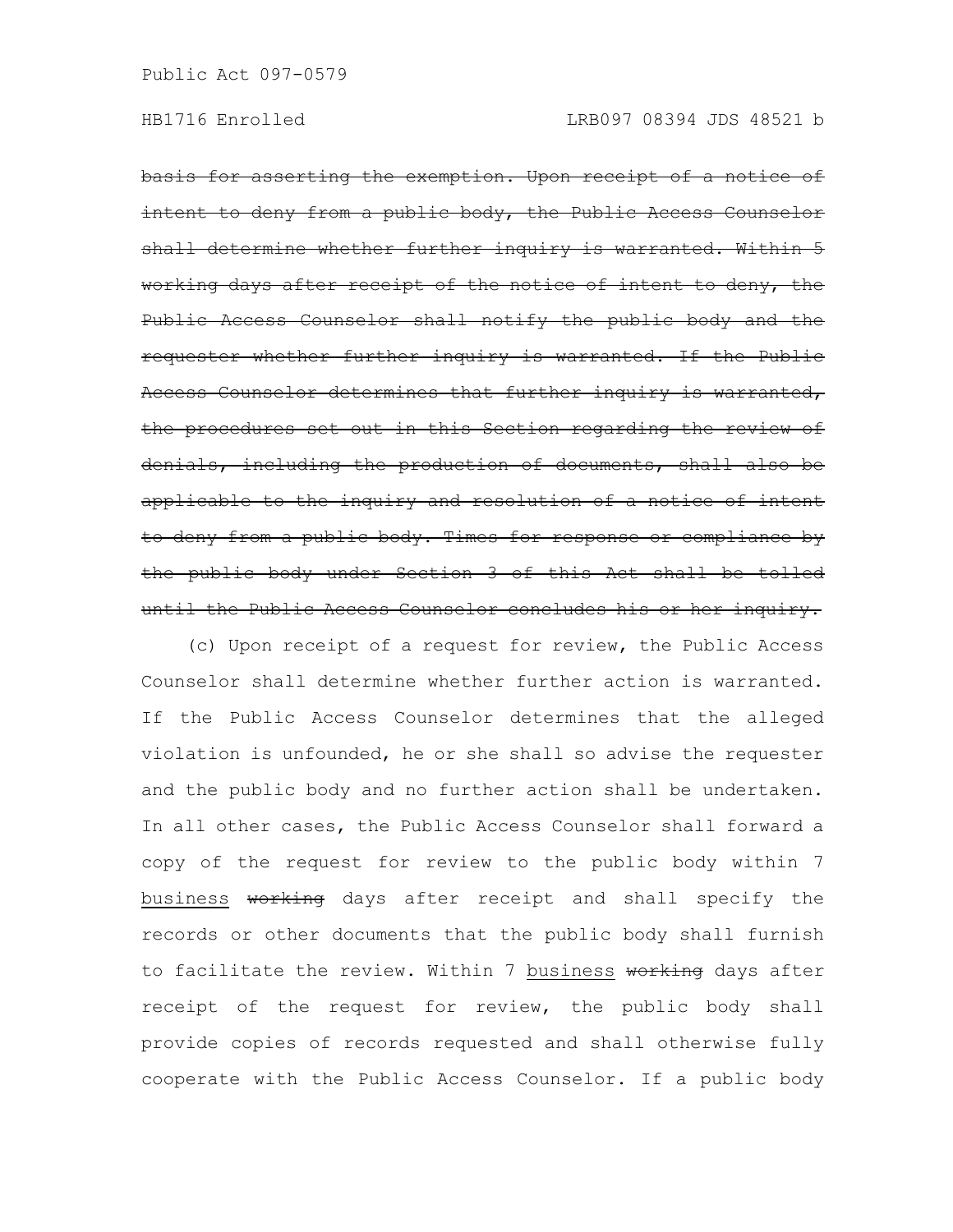basis for asserting the exemption. Upon receipt of a notice of to deny from a public body, the Public Access Counselor shall determine whether further inquiry is warranted. Within 5 working days after receipt of the notice of Public Access Counselor shall notify the public body requester whether further inquiry is warranted. If the Public Access Counselor determines that further inquiry is warranted, the procedures set out in this Section regarding the review of denials, including the production of documents, shall also be applicable to the inquiry and resolution of a notice of intent to deny from a public body. Times for response or compliance by the public body under Section 3 of this Act shall be until the Public Access Counselor concludes his or her inquiry.

(c) Upon receipt of a request for review, the Public Access Counselor shall determine whether further action is warranted. If the Public Access Counselor determines that the alleged violation is unfounded, he or she shall so advise the requester and the public body and no further action shall be undertaken. In all other cases, the Public Access Counselor shall forward a copy of the request for review to the public body within 7 business working days after receipt and shall specify the records or other documents that the public body shall furnish to facilitate the review. Within 7 business working days after receipt of the request for review, the public body shall provide copies of records requested and shall otherwise fully cooperate with the Public Access Counselor. If a public body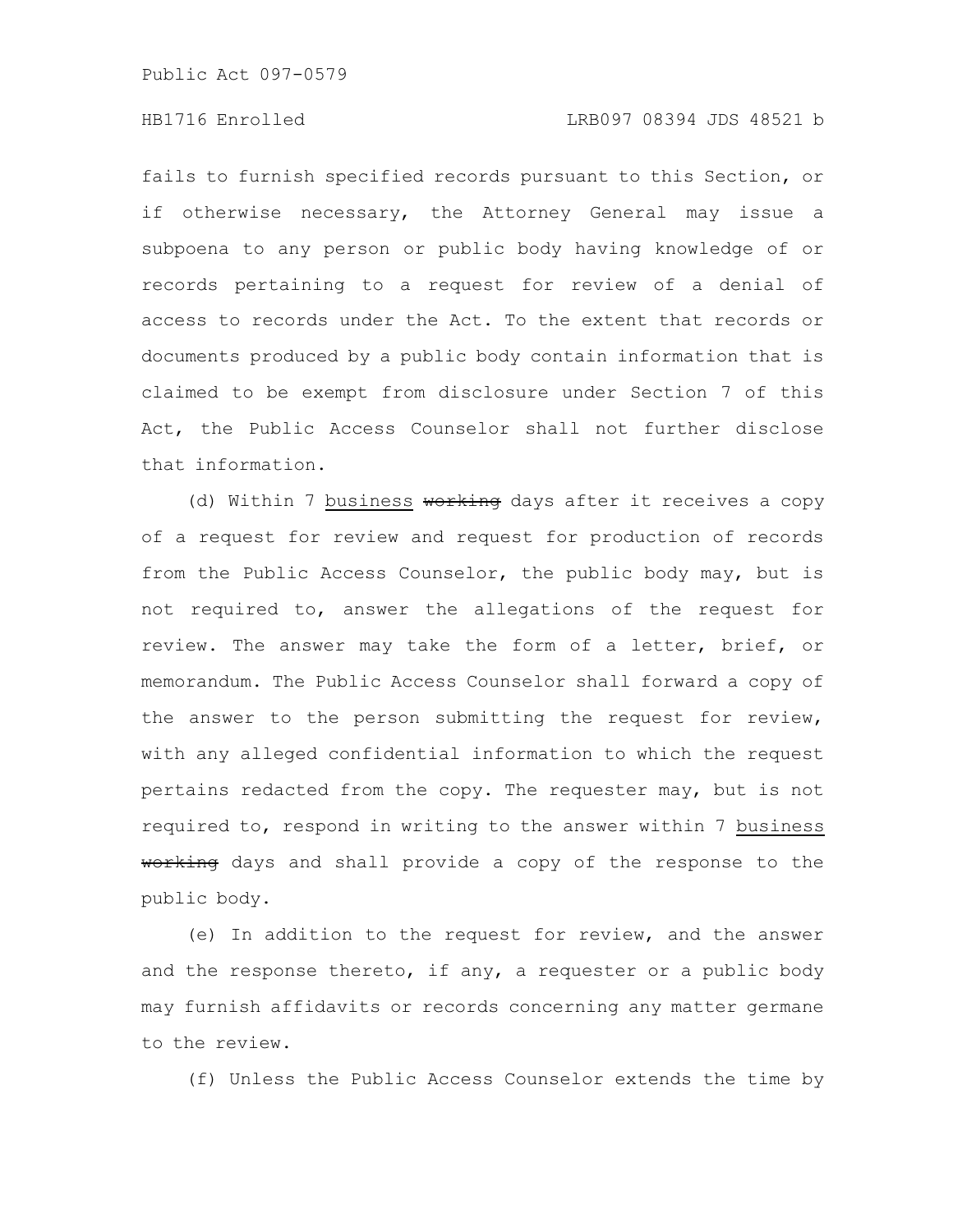# HB1716 Enrolled LRB097 08394 JDS 48521 b

fails to furnish specified records pursuant to this Section, or if otherwise necessary, the Attorney General may issue a subpoena to any person or public body having knowledge of or records pertaining to a request for review of a denial of access to records under the Act. To the extent that records or documents produced by a public body contain information that is claimed to be exempt from disclosure under Section 7 of this Act, the Public Access Counselor shall not further disclose that information.

(d) Within 7 business working days after it receives a copy of a request for review and request for production of records from the Public Access Counselor, the public body may, but is not required to, answer the allegations of the request for review. The answer may take the form of a letter, brief, or memorandum. The Public Access Counselor shall forward a copy of the answer to the person submitting the request for review, with any alleged confidential information to which the request pertains redacted from the copy. The requester may, but is not required to, respond in writing to the answer within 7 business working days and shall provide a copy of the response to the public body.

(e) In addition to the request for review, and the answer and the response thereto, if any, a requester or a public body may furnish affidavits or records concerning any matter germane to the review.

(f) Unless the Public Access Counselor extends the time by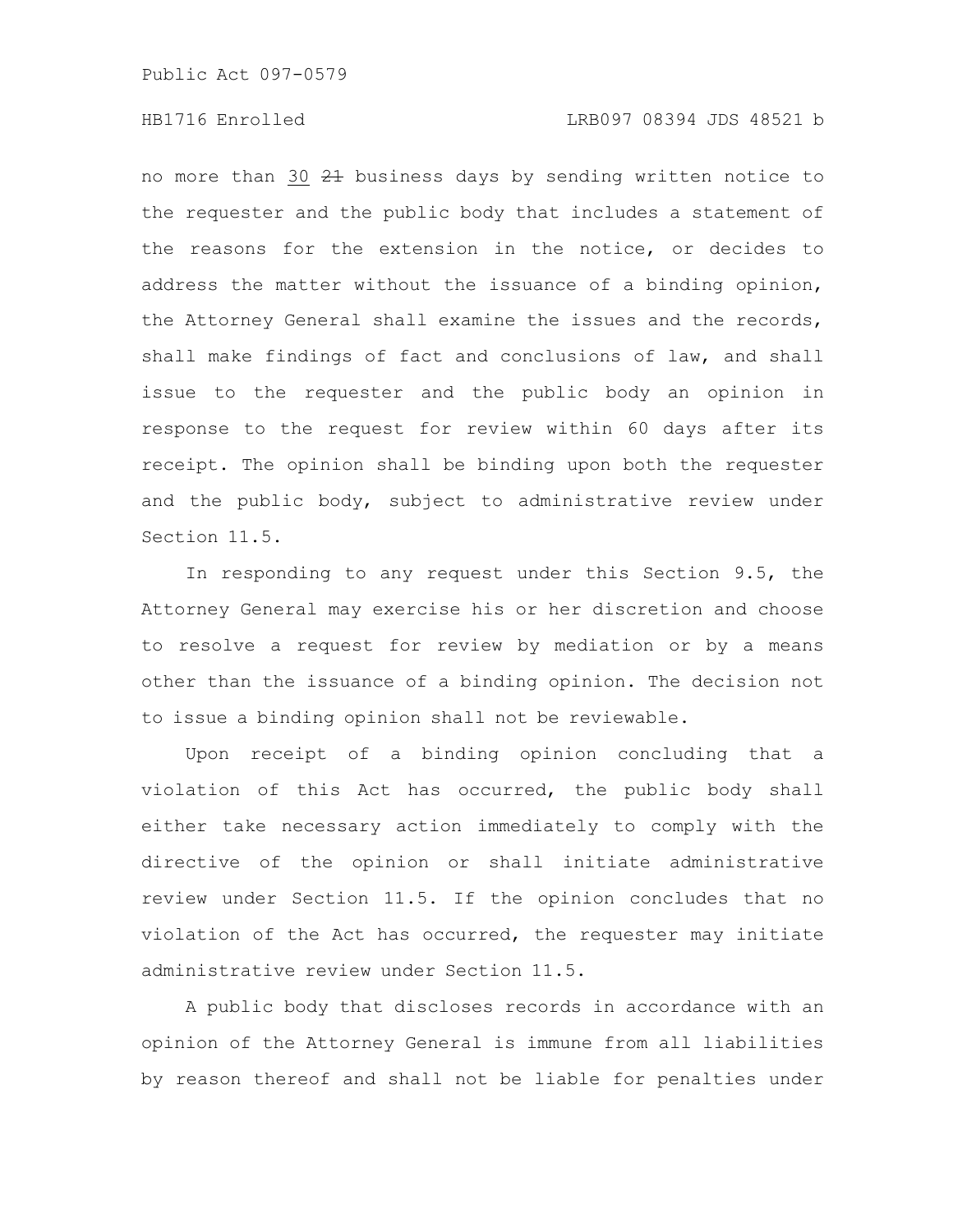# HB1716 Enrolled LRB097 08394 JDS 48521 b

no more than 30 21 business days by sending written notice to the requester and the public body that includes a statement of the reasons for the extension in the notice, or decides to address the matter without the issuance of a binding opinion, the Attorney General shall examine the issues and the records, shall make findings of fact and conclusions of law, and shall issue to the requester and the public body an opinion in response to the request for review within 60 days after its receipt. The opinion shall be binding upon both the requester and the public body, subject to administrative review under Section 11.5.

In responding to any request under this Section 9.5, the Attorney General may exercise his or her discretion and choose to resolve a request for review by mediation or by a means other than the issuance of a binding opinion. The decision not to issue a binding opinion shall not be reviewable.

Upon receipt of a binding opinion concluding that a violation of this Act has occurred, the public body shall either take necessary action immediately to comply with the directive of the opinion or shall initiate administrative review under Section 11.5. If the opinion concludes that no violation of the Act has occurred, the requester may initiate administrative review under Section 11.5.

A public body that discloses records in accordance with an opinion of the Attorney General is immune from all liabilities by reason thereof and shall not be liable for penalties under